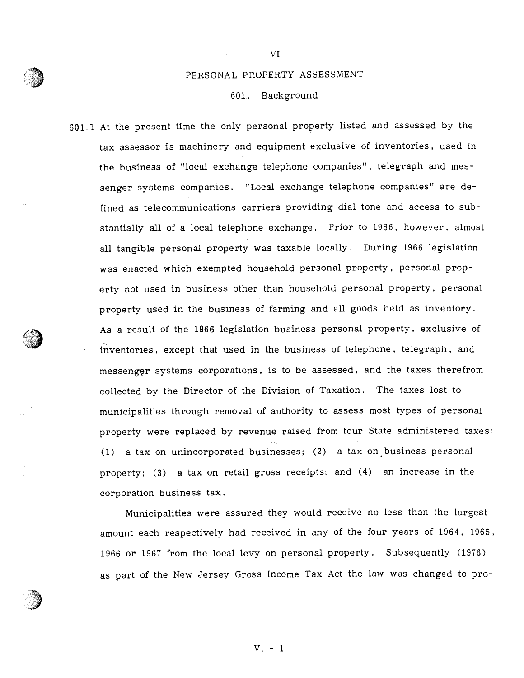# PERSONAL PROPERTY ASSESSMENT

VI

## 601. Background

601.1 At the presen<sup>t</sup> time the only persona<sup>l</sup> property listed and assessed by the tax assessor is machinery and equipment exclusive of inventories, used in the business of "local exchange telephone companies", telegraph and messenger systems companies. "Local exchange telephone companies" are defined as telecommunications carriers providing dial tone and access to sub stantially all of <sup>a</sup> local telephone exchange. Prior to 1966, however, almost all tangible persona<sup>l</sup> property was taxable locally. During <sup>1966</sup> legislation was enacted which exempted household personal property, personal property not used in business other than household persona<sup>l</sup> property, persona<sup>l</sup> property used in the business of farming and all goods held as inventory. As <sup>a</sup> result of the 1966 legislation business personal property, exclusive of inventories, excep<sup>t</sup> that used in the business of telephone, telegraph, and messenger systems corporations, is to be assessed, and the taxes therefrom collected by the Director of the Division of Taxation. The taxes lost to municipalities through removal of authority to assess most types of persona<sup>l</sup> property were replaced by revenue raised from four State administered taxes: (1) <sup>a</sup> tax on unincorporated businesses; (2) <sup>a</sup> tax on business persona<sup>l</sup> property; (3) <sup>a</sup> tax on retail gross receipts; and (4) an increase in the corporation business tax.

Municipalities were assured they would receive no less than the largest amount each respectively had received in any of the four years of 1964, 1965, <sup>1966</sup> or <sup>1967</sup> from the local levy on persona<sup>l</sup> property. Subsequently (1976) as par<sup>t</sup> of the New Jersey Gross Income Tax Act the law was changed to pro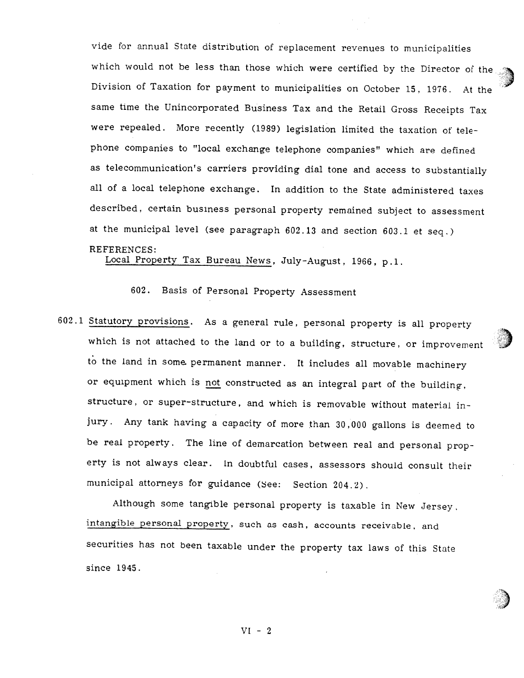vide for annual State distribution of replacement revenues to municipalities which would not be less than those which were certified by the Director of the Division of Taxation for payment to municipalities on October 15, 1976. At the same time the Unincorporated Business Tax and the Retail Gross Receipts Tax were repealed. More recently (1989) legislation limited the taxation of tele <sup>p</sup>hone companies to "local exchange telephone companies" which are defined as telecommunication's carriers providing dial tone and access to substantially all of <sup>a</sup> local telephone exchange. tn addition to the State administered taxes described, certain business personal property remained subject to assessment at the municipal level (see paragraph 602.13 and section 603.1 et seq.) REFERENCES:

Local Property Tax Bureau News, July-August, 1966, p.1.

602. Basis of Personal Property Assessment

602.1 Statutory provisions. As <sup>a</sup> general rule, personal property is all property which is not attached to the land or to a building, structure, or improvement to the land in some. permanent manner. It includes all movable machinery or equipment which is not constructed as an integral part of the building, structure, or super-structure, and which is removable without material in jury. Any tank having <sup>a</sup> capacity of more than 30,000 gallons is deemed to be real property. The line of demarcation between real and personal prop erty is not always clear. In doubtful cases, assessors should consult their municipal attorneys for guidance (see: Section 204.2).

Although some tangible personal property is taxable in New Jersey, intangible personal property, such as cash, accounts receivable, and securities has not been taxable under the property tax laws of this State since 1945.

 $VI - 2$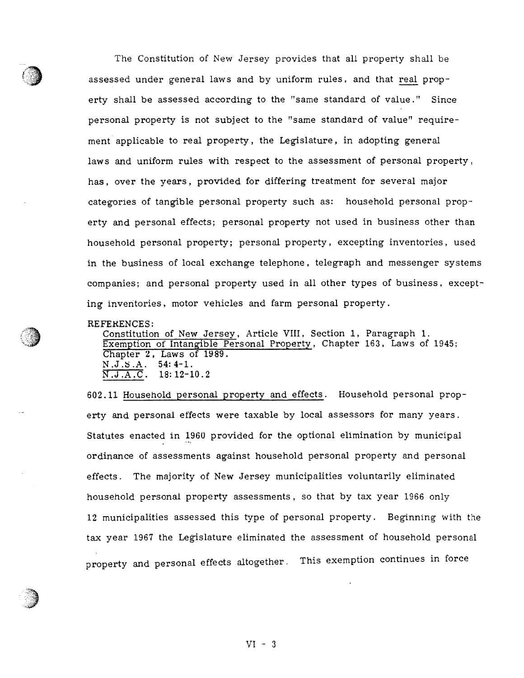The Constitution of New Jersey provides that all property shall be assessed under general laws and by uniform rules, and that real property shall be assessed according to the "same standard of value." Since personal property is not subject to the "same standard of value" require ment applicable to real property, the Legislature, in adopting general laws and uniform rules with respec<sup>t</sup> to the assessment of personal property, has, over the years, provided for differing treatment for several major categories of tangible personal property such as: household personal prop erty and personal effects; personal property not used in business other than household personal property; personal property, excepting inventories, used in the business of local exchange telephone, telegraph and messenger systems companies; and personal property used in all other types of business, excep<sup>t</sup> ing inventories, motor vehicles and farm personal property.

REFERENCES:

Constitution of New Jersey, Article VIII, Section 1, Paragraph 1. Exemption of Intangible Personal Property, Chapter 163, Laws of 1945; Chapter 2, Laws of 1989.  $N.J.S.A. 54:4-1.$  $N.J.A.C.$  18:12-10.2

602.11 Household personal property and effects. Household personal prop erty and persona<sup>l</sup> effects were taxable by local assessors for many years. Statutes enacted in 1960 provided for the optional elimination by municipal ordinance of assessments against household personal property and personal effects. The majority of New Jersey municipalities voluntarily eliminated household personal property assessments, so that by tax year 1966 only 12 municipalities assessed this type of personal property. Beginning with the tax year 1967 the Legislature eliminated the assessment of household personal property and persona<sup>l</sup> effects altogether. This exemption continues in force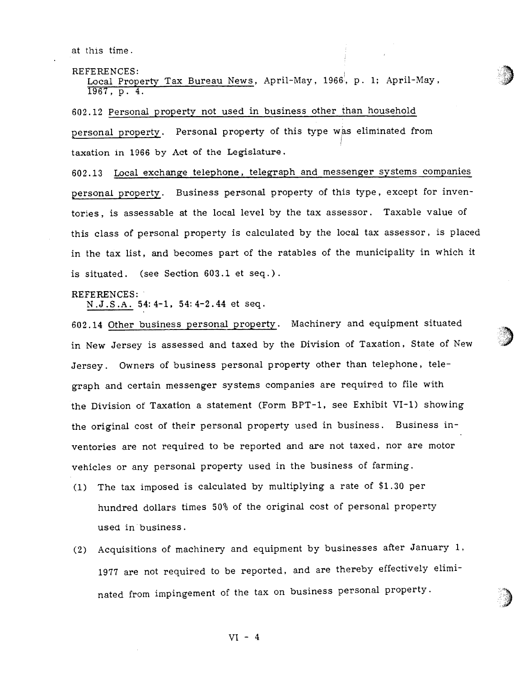at this time.

REFERENCES:

Local Property Tax Bureau News, April-May, 1966, p. 1; April-May, 1967, p. 4.

<sup>602</sup> . <sup>12</sup> Personal property not used in business other than household persona<sup>l</sup> property. Personal property of this type was eliminated from taxation in 1966 by Act of the Legislature.

602.13 Local exchange telephone, telegraph and messenger systems companies persona<sup>l</sup> property. Business persona<sup>l</sup> property of this type, excep<sup>t</sup> for inven tories, is assessable at the local level by the tax assessor. Taxable value of this class of persona<sup>l</sup> property is calculated by the local tax assessor, is <sup>p</sup>laced in the tax list, and becomes par<sup>t</sup> of the ratables of the municipality in which it is situated. (see Section 603.1 et seq.).

# REFERENCES:

N.J.S.A. 54:4-1, 54: 4-2.44 et seq.

<sup>602</sup> .14 Other business persona<sup>l</sup> property. Machinery and equipment situated in New Jersey is assessed and taxed by the Division of Taxation, State of New Jersey. Owners of business persona<sup>l</sup> property other than telephone, tele grap<sup>h</sup> and certain messenger systems companies are required to file with the Division of Taxation <sup>a</sup> statement (Form BPT-l, see Exhibit VI-1) showing the original cost of their persona<sup>l</sup> property used in business. Business in ventories are not required to be reported and are not taxed, nor are motor vehicles or any persona<sup>l</sup> property used in the business of farming.

- (1) The tax imposed is calculated by multiplying <sup>a</sup> rate of S1.30 per hundred dollars times 50% of the original cost of personal property used in business.
- (2) Acquisitions of machinery and equipment by businesses after January 1, <sup>1977</sup> are not required to be reported, and are thereby effectively elimi nated from impingement of the tax on business persona<sup>l</sup> property.

 $VI - 4$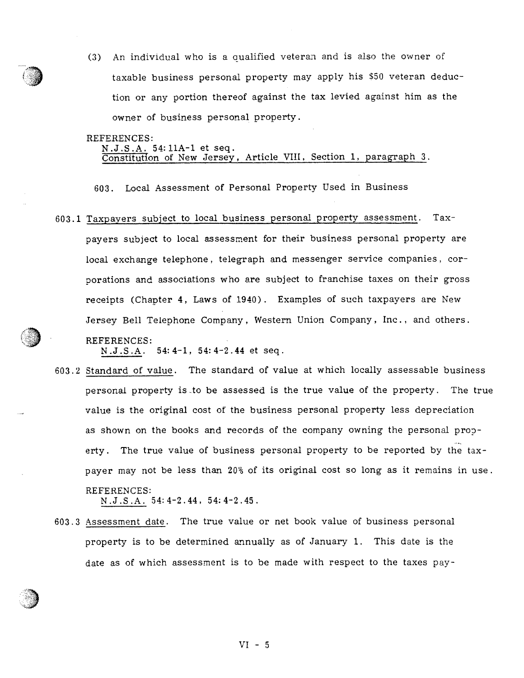(3) An individual who is <sup>a</sup> aualified veteran and is also the owner of taxable business personal property may apply his \$50 veteran deduction or any portion thereof against the tax levied against him as the owner of business personal property.

#### REFERENCES:

N.J.S.A. 54:11A-l et seq. Constitution of New Jersey , Article VIII, Section 1, paragraph 3.

603. Local Assessment of Personal Property Used in Business

603.1 Taxpayers subject to local business persona<sup>l</sup> property assessment. Tax payers subject to local assessment for their business persona<sup>l</sup> property are local exchange telephone, telegraph and messenger service companies, corporations and associations who are subject to franchise taxes on their gross receipts (Chapter 4, Laws of 1940). Examples of such taxpayers are New Jersey Bell Telephone Company, Western Union Company, Inc., and others. REFERENCES:

N.J.S.A. 54:4—i, 54:4-2.44 et seq.

603.2 Standard of value. The standard of value at which locally assessable business personal property is to be assessed is the true value of the property. The true value is the original cost of the business personal property less depreciation as shown on the books and records of the company owning the personal prop erty. The true value of business persona<sup>l</sup> property to be reported by the tax payer may not be less than 20% of its original cost so long as it remains in use. REFERENCES:

N.J.S.A. 54: 4-2.44, 54: 4-2.45.

603.3 Assessment date. The true value or net book value of business personal property is to be determined annually as of January 1. This date is the date as of which assessment is to be made with respec<sup>t</sup> to the taxes pay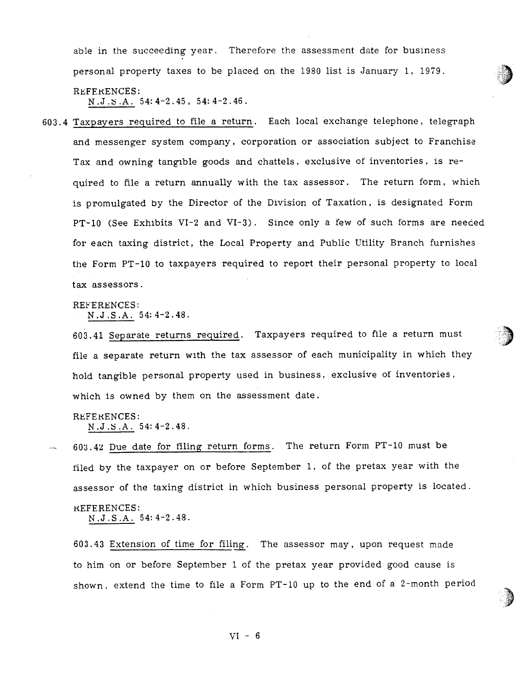able in the succeeding year. Therefore the assessment date for business persona<sup>l</sup> property taxes to be <sup>p</sup>laced on the 1980 list is January 1. 1979.

REFERENCES: N.J.S.A. 54: 4-2.45, 54: 4-2.46.

603.4 Taxpayers required to file <sup>a</sup> return. Each local exchange telephone, telegraph and messenger system company, corporation or association subject to Franchise Tax and owning tangible goods and chattels, exclusive of inventories, is re quired to file <sup>a</sup> return annually with the tax assessor. The return form, which is promulgated by the Director of the Division of Taxation, is designated Form PT-10 (See Exhibits VI-2 and VI-3). Since only a few of such forms are needed for each taxing district, the Local Property and Public Utility Branch furnishes the Form PT-10 to taxpayers required to report their personal property to local tax assessors.

REFERENCES:

N.J.S.A. 54:4-2.48.

603.41 Separate returns required. Taxpayers required to file <sup>a</sup> return must file <sup>a</sup> separate return with the tax assessor of each municipality in which they hold tangible persona<sup>l</sup> property used in business, exclusive of inventories, which is owned by them on the assessment date.

REFERENCES: N.J.S.A. 54: 4—2.48.

 $\mathbf{A}$ 

603.42 Due date for filing return forms. The return Form PT-10 must be filed by the taxpayer on or before September 1, of the pretax year with the assessor of the taxing district in which business persona<sup>l</sup> property is located. **REFERENCES:** 

N.J.S.A. 54: 4—2.48.

603.43 Extension of time for filing. The assessor may, upon request made to him on or before September 1 of the pretax year provided good cause is shown, extend the time to file a Form PT-10 up to the end of a 2-month period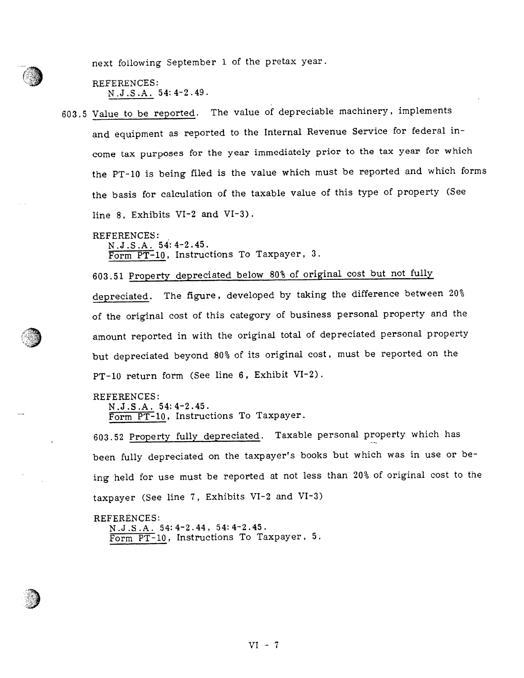next following September <sup>1</sup> of the pretax year.

REFERENCES: N.J.S.A. 54:4-2.49.

603.5 Value to be reported. The value of depreciable machinery, implements and equipment as reported to the Internal Revenue Service for federal in come tax purposes for the year immediately prior to the tax year for which the PT-10 is being filed is the value which must be reported and which forms the basis for calculation of the taxable value of this type of property (See line 8, Exhibits VI-2 and VI-3).

REFERENCES:

N.J.S.A. 54:4-2.45. Form PT-l0, Instructions To Taxpayer, 3.

603.51 Property depreciated below 80% of original cost but not fully depreciated. The figure, developed by taking the difference between 20% of the original cost of this category of business persona<sup>l</sup> property and the amount reported in with the original total of depreciated persona<sup>l</sup> property but depreciated beyond 80% of its original cost, must be reported on the PT-lU return form (See line 6, Exhibit VI-2).

REFERENCES:

N.J.S.A. 54: 4—2.45. Form PT-10, Instructions To Taxpayer.

603.52 Property fully depreciated. Taxable persona<sup>l</sup> property which has been fully depreciated on the taxpayer's books but which was in use or be ing held for use must be reported at not less than 20% of original cost to the taxpayer (See line 7, Exhibits VI-2 and VI-3)

#### REFERENCES:

N.J.S.A. 54:4-2.44, 54:4-2.45. Form PT-10, Instructions To Taxpayer, 5.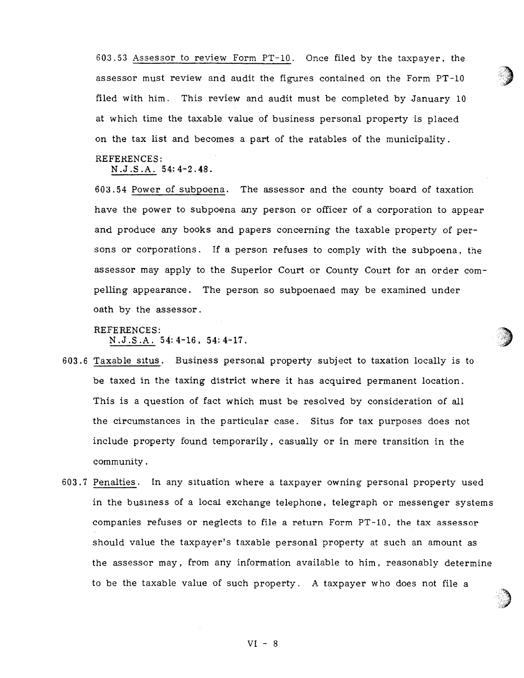603.53 Assessor to review Form PT-b. Once filed by the taxpayer, the assessor must review and audit the figures contained on the Form PT-10 filed with him. This review and audit must be completed by January <sup>10</sup> at which time the taxable value of business persona<sup>l</sup> property is <sup>p</sup>laced on the tax list and becomes <sup>a</sup> par<sup>t</sup> of the ratables of the municipality.

# REFERENCES:

N.J.S.A. 54:4-2.48.

603.54 Power of subpoena. The assessor and the county board of taxation have the power to subpoena any person or officer of <sup>a</sup> corporation to appear and produce any books and papers concerning the taxable property of per Sons or corporations. If <sup>a</sup> person refuses to comply with the subpoena, the assessor may apply to the Superior Court or County Court for an order com pelling appearance. The person so subpoenaed may be examined under oath by the assessor.

# REFERENCES:

N.J.S.A. 54:4-16, 54: 4—17.

- 603.6 Taxable situs. Business personal property subject to taxation locally is to be taxed in the taxing district where it has acquired permanen<sup>t</sup> location. This is <sup>a</sup> question of fact which must be resolved by consideration of all the circumstances in the particular case. Situs for tax purposes does not include property found temporarily, casually or in mere transition in the community.
- 603.7 Penalties. In any situation where <sup>a</sup> taxpayer owning personal property used in the business of <sup>a</sup> local exchange telephone, telegraph or messenger systems companies refuses or neglects to file a return Form PT-10, the tax assessor should value the taxpayer's taxable personal property at such an amount as the assessor may, from any information available to him, reasonably determine to be the taxable value of such property. A taxpayer who does not file <sup>a</sup>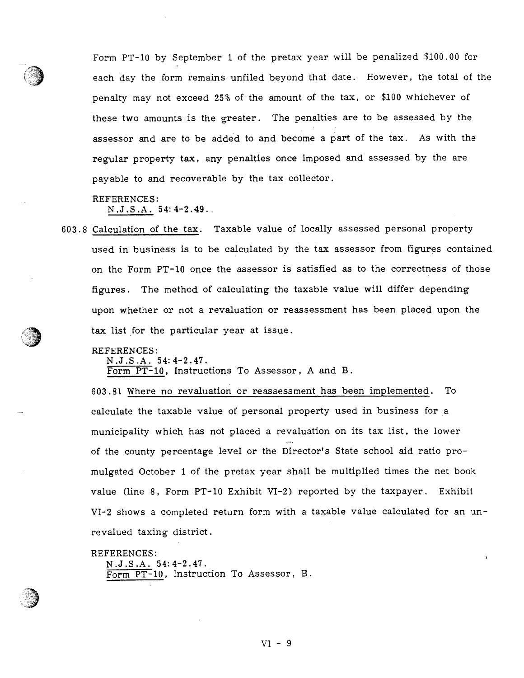Form PT-10 by September 1 of the pretax year will be penalized \$100.00 for each day the form remains unfiled beyond that date. However, the total of the penalty may not exceed 25% of the amount of the tax, or \$100 whichever of these two amounts is the greater. The penalties are to be assessed by the assessor and are to be added to and become <sup>a</sup> par<sup>t</sup> of the tax. As with the regular property tax, any penalties once imposed and assessed by the are payable to and recoverable by the tax collector.

# REFERENCES:

N.J.S.A. 54:4—2.49..

603. 8 Calculation of the tax. Taxable value of locally assessed personal property used in business is to be calculated by the tax assessor from figures contained on the Form PT-10 once the assessor is satisfied as to the correctness of those figures. The method of calculating the taxable value will differ depending upon whether or not <sup>a</sup> revaluation or reassessment has been <sup>p</sup>laced upon the tax list for the particular year at issue.

# REFERENCES:

N.J.S.A. 54: 4—2.47.

Form PT-10, Instructions To Assessor, A and B.

603 .81 Where no revaluation or reassessment has been implemented. To calculate the taxable value of personal property used in business for <sup>a</sup> municipality which has not <sup>p</sup>laced <sup>a</sup> revaluation on its tax list, the lower of the county percentage level or the Director's State school aid ratio pro mulgated October <sup>1</sup> of the pretax year shall be multiplied times the net book value (line 8, Form PT-10 Exhibit VI-2) reported by the taxpayer. Exhibit VI-2 shows <sup>a</sup> completed return form with <sup>a</sup> taxable value calculated for an un revalued taxing district.

# REFERENCES:

N.J.S.A. 54: 4-2.47. Form PT-10, Instruction To Assessor, B.

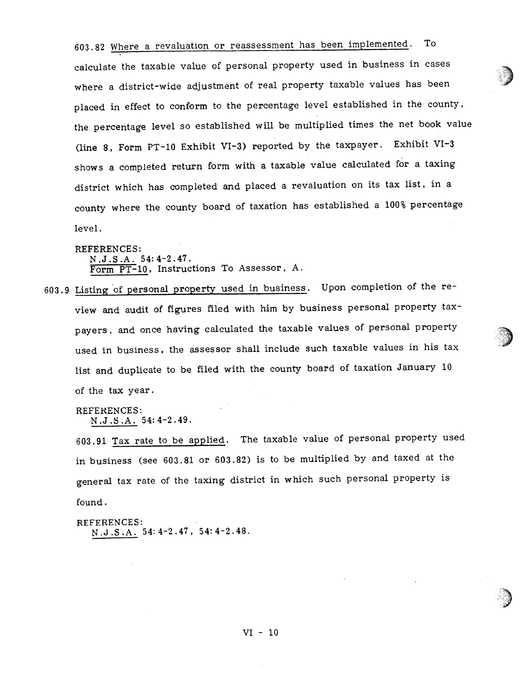603.82 Where <sup>a</sup> revaluation or reassessment has been implemented. To calculate the taxable value of persona<sup>l</sup> property used in business in cases where <sup>a</sup> district-wide adjustment of real property taxable values has been <sup>p</sup>laced in effect to conform to the percentage level established in the county, the percentage level so established will be multiplied times the net book value (line 8, Form PT-10 Exhibit VI-3) reported by the taxpayer. Exhibit VI-3 shows <sup>a</sup> completed return form with <sup>a</sup> taxable value calculated for <sup>a</sup> taxing district which has completed and <sup>p</sup>laced <sup>a</sup> revaluation on its tax list, in <sup>a</sup> county where the county board of taxation has established <sup>a</sup> 100% percentage level.

REFERENCES: N.J.S.A. 54:4-2.47. Form PT-10, Instructions To Assessor, A.

603.9 Listing of persona<sup>l</sup> property used in business. Upon completion of the re view and audit of figures filed with him by business persona<sup>l</sup> property tax payers, and once having calculated the taxable values of persona<sup>l</sup> property used in business, the assessor shall include such taxable values in his tax list and duplicate to be filed with the county board of taxation January <sup>10</sup> of the tax year.

REFERENCES: N.J.S.A. 54:4-2.49.

603.91 Tax rate to be applied. The taxable value of persona<sup>l</sup> property used in business (see 603.81 or 603.82) is to be multiplied by and taxed at the genera<sup>l</sup> tax rate of the taxing district in which such persona<sup>l</sup> property is found.

REFERENCES: N.J .S .A. 54: 4-2 .47, 54: 4—2.48.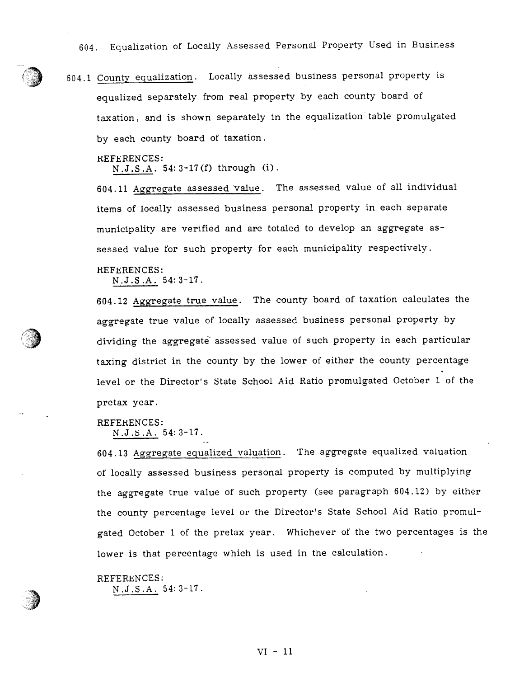604. Equalization of Locally Assessed Personal Property Used in Business

604.1 County equalization. Locally assessed business persona<sup>l</sup> property is equalized separately from real property by each county board of taxation, and is shown separately in the equalization table promulgated by each county board of taxation.

REFERENCES:

N.J.S.A. 54:3-17(f) through (i).

604.11 Aggregate assessed value. The assessed value of all individual items of locally assessed business persona<sup>l</sup> property in each separate municipality are verified and are totaled to develop an aggregate as sessed value for such property for each municipality respectively.

REFERENCES:

N.J.S.A. 54:3—17.

604. <sup>12</sup> Aggregate true value. The county board of taxation calculates the aggregate true value of locally assessed business persona<sup>l</sup> property by dividing the aggregate assessed value of such property in each particular taxing district in the county by the lower of either the county percentage level or the Director's State School Aid Ratio promulgated October <sup>1</sup> of the pretax year.

REFERENCES: N.J.S.A. 54: 3-17.

604.13 Aggregate equalized valuation. The aggregate equalized valuation of locally assessed business persona<sup>l</sup> property is computed by multiplying the aggregate true value of such property (see paragrap<sup>h</sup> 604.12) by either the county percentage level or the Director's State School Aid Ratio promu<sup>l</sup> gated October <sup>1</sup> of the pretax year. Whichever of the two percentages is the lower is that percentage which is used in the calculation.

REFERENCES: N.J.S.A. 54:3—17.

VI- 11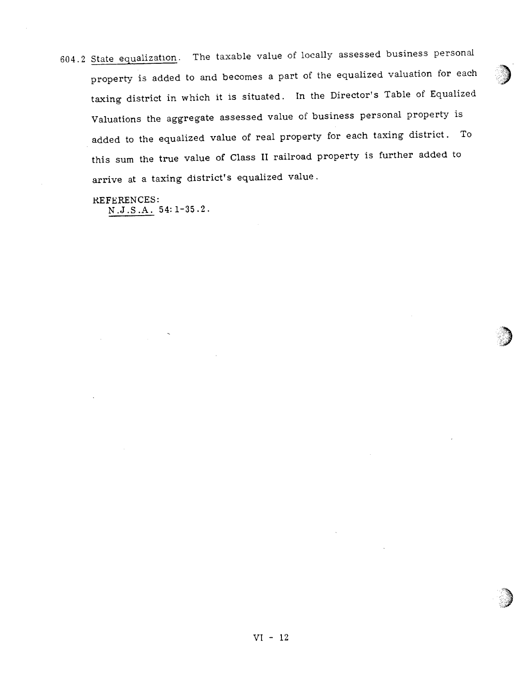604.2 State equalization. The taxable value of locally assessed business persona<sup>l</sup> property is added to and becomes a part of the equalized valuation for each taxing district in which it is situated. In the Director's Table of Equalized Valuations the aggregate assessed value of business persona<sup>l</sup> property is added to the equalized value of real property for each taxing district. To this sum the true value of Class <sup>U</sup> railroad property is further added to arrive at a taxing district's equalized value.

REFERENCES: N.J.S.A. 54:1—35.2.

I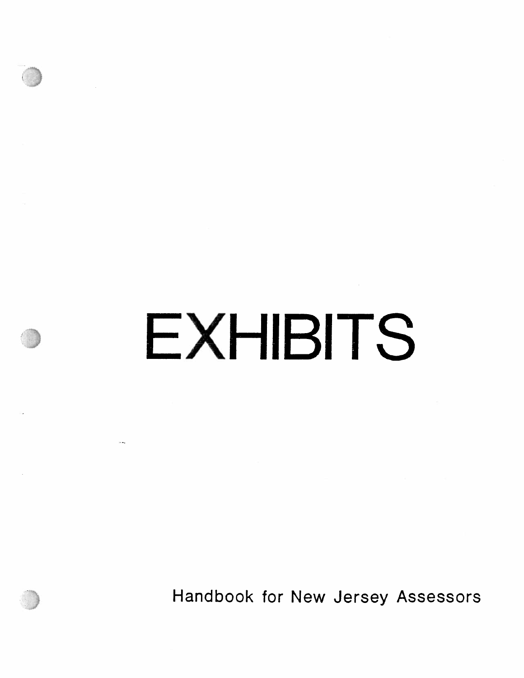# **EXHIBITS**

andbook for New Jersey Assessors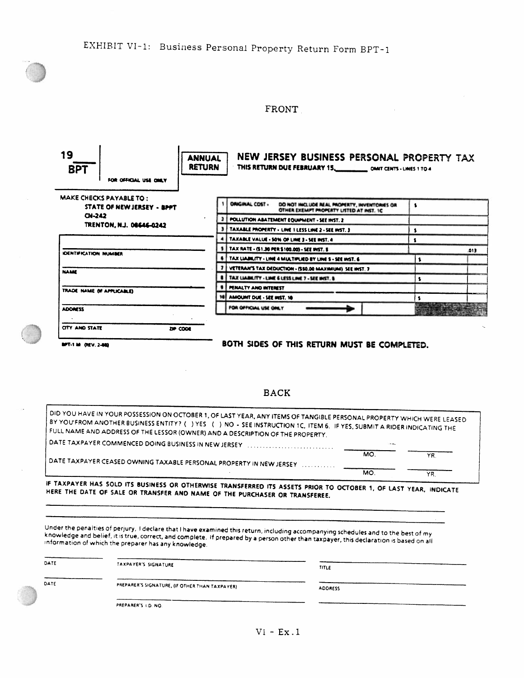# FRONT



WT.1 M (NEV. 240) BOTH SIDES OF THIS RETURN MUST BE COMPLETED.

 $MO.$   $YR$ 

MO. YR.

# BACK

BY DID YOU HAVE IN YOUR POSSESSION ON OCTOBER 1, OF LAST YEAR, ANY ITEMS OF TANGIBLE PERSONAL PROPERTY WHICH WERE LEASED<br>BY YOU'FROM ANOTHER BUSINESS ENTITY? (- ) YES - (- ) NO - SEE INSTRUCTION 1C, ITEM 6. IF YES, SUBMIT A DATE TAXPAYER COMMENCED DOING BUSINESS IN NEW JERSEY

DATE TAXPAYER CEASED OWNING TAXABLE PERSONAL PROPERTY IN NEW JERSEY

IF IF TAXPAYER HAS SOLD ITS BUSINESS OR OTHERWISE TRANSFERRED ITS ASSETS PRIOR TO OCTOBER 1, OF LAST YEAR, INDICATE<br>HERE THE DATE OF SALE OR TRANSFER AND NAME OF THE PURCHASER OR TRANSFEREE.

knowledge and belief, it is true, correct, and complete. If prepared by a person other than taxpayer, this declaration is based on all<br>Information of which the preparer has any knowledge. Under the penalties of perjury, I declare that I have examined this return, including accompanying schedules and to the best of my

| DATE | TAXPAYER'S SIGNATURE                           | TITLE          |
|------|------------------------------------------------|----------------|
| DATE | PREPARER'S SIGNATURE, (IF OTHER THAN TAXPAYER) | <b>ADDRESS</b> |
|      | PREPARER'S I.D. NO.                            |                |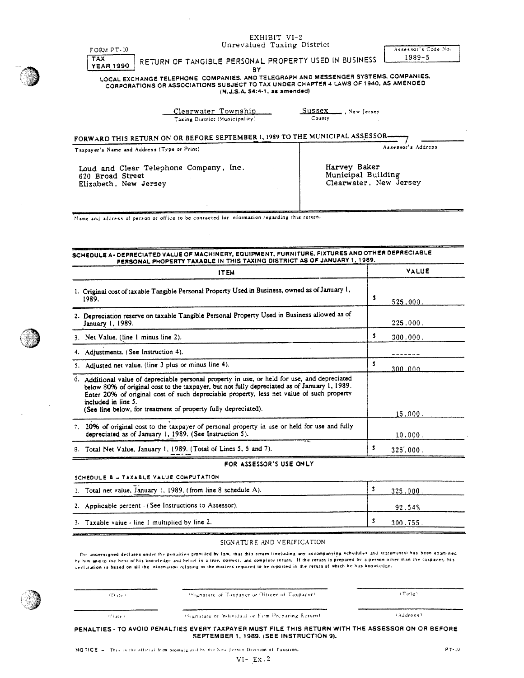| EXHIBIT VI-2                                                                                                                                                                                                                                                                                                                                                                       |                             |                             |  |
|------------------------------------------------------------------------------------------------------------------------------------------------------------------------------------------------------------------------------------------------------------------------------------------------------------------------------------------------------------------------------------|-----------------------------|-----------------------------|--|
| Unrevalued Taxing District<br>FORM PT-10                                                                                                                                                                                                                                                                                                                                           |                             | Assessor's Code No.         |  |
| TAX.<br>RETURN OF TANGIBLE PERSONAL PROPERTY USED IN BUSINESS                                                                                                                                                                                                                                                                                                                      |                             | $1989 - 5$                  |  |
| <b>YEAR 1990</b><br>BY<br>LOCAL EXCHANGE TELEPHONE COMPANIES, AND TELEGRAPH AND MESSENGER SYSTEMS, COMPANIES.<br>CORPORATIONS OR ASSOCIATIONS SUBJECT TO TAX UNDER CHAPTER 4 LAWS OF 1940, AS AMENDED<br>(N.J.S.A. 54:4-1, as amended)                                                                                                                                             |                             |                             |  |
| Clearwater Township<br>Taxing District (Municipality)                                                                                                                                                                                                                                                                                                                              | Sussex New Jersey<br>County |                             |  |
| FORWARD THIS RETURN ON OR BEFORE SEPTEMBER 1, 1989 TO THE MUNICIPAL ASSESSOR-<br>Taxpayer's Name and Address (Type or Print)                                                                                                                                                                                                                                                       |                             | Assessor's Address          |  |
|                                                                                                                                                                                                                                                                                                                                                                                    |                             |                             |  |
| Harvey Baker<br>Loud and Clear Telephone Company, Inc.<br>Municipal Building<br>620 Broad Street<br>Elizabeth, New Jersey                                                                                                                                                                                                                                                          |                             | Clearwater, New Jersey      |  |
|                                                                                                                                                                                                                                                                                                                                                                                    |                             |                             |  |
| SCHEDULE A- DEPRECIATED VALUE OF MACHINERY, EQUIPMENT, FURNITURE, FIXTURES AND OTHER DEPRECIABLE                                                                                                                                                                                                                                                                                   |                             |                             |  |
|                                                                                                                                                                                                                                                                                                                                                                                    |                             |                             |  |
| PERSONAL PHOPERTY TAXABLE IN THIS TAXING DISTRICT AS OF JANUARY 1, 1989.<br><b>ITEM</b>                                                                                                                                                                                                                                                                                            |                             | VALUE                       |  |
| 1. Original cost of taxable Tangible Personal Property Used in Business, owned as of January 1,<br>1989.<br>2. Depreciation reserve on taxable Tangible Personal Property Used in Business allowed as of<br>January 1, 1989.                                                                                                                                                       |                             | \$.<br>525,000.<br>225,000. |  |
| 3. Net Value, (line 1 minus line 2).                                                                                                                                                                                                                                                                                                                                               |                             | \$<br>300,000.              |  |
| 4. Adjustments. (See Instruction 4).                                                                                                                                                                                                                                                                                                                                               |                             |                             |  |
| 5. Adjusted net value. (line 3 plus or minus line 4).                                                                                                                                                                                                                                                                                                                              |                             | \$                          |  |
| 6. Additional value of depreciable personal property in use, or held for use, and depreciated<br>below 80% of original cost to the taxpayer, but not fully depreciated as of January 1, 1989.<br>Enter 20% of original cost of such depreciable property, less net value of such property<br>included in line 5.<br>(See line below, for treatment of property fully depreciated). |                             | 300.000<br>$15,000$ .       |  |
| 7. 20% of original cost to the taxpayer of personal property in use or held for use and fully<br>depreciated as of January 1, 1989. (See Instruction 5).                                                                                                                                                                                                                           |                             | 10.000.                     |  |
|                                                                                                                                                                                                                                                                                                                                                                                    |                             | \$<br>325,000.              |  |
| 8. Total Net Value, January 1, 1989. (Total of Lines 5, 6 and 7).<br>FOR ASSESSOR'S USE ON LY                                                                                                                                                                                                                                                                                      |                             |                             |  |
| SCHEDULE B - TAXABLE VALUE COMPUTATION                                                                                                                                                                                                                                                                                                                                             |                             |                             |  |
| 1. Total net value, January 1, 1989. (from line 8 schedule A).                                                                                                                                                                                                                                                                                                                     |                             | \$<br>325.000.              |  |
| 2. Applicable percent - (See Instructions to Assessor).                                                                                                                                                                                                                                                                                                                            |                             | 92.54%                      |  |

The undersigned declares under the penalties provided by law, that this return (including any accompanying schedules and statements) has been examined<br>by him and to the best of his knowledge and belief is a true, correct, declaration is based on all the information relating to the matters required to be reported in the return of which he has knowledge.



 $t_{\rm H\,M\,C^{+}}$ 

(Signature of Taxpayer or Officer of Taxpayer).

 $(\mathsf{Title})$ 

(i) it is not individual or Firm Preparing Return( iii) in the case of Address)

PENALTIES TO AVOID PENALTIES EVERY TAXPAYER MUST FILE THIS RETURN WITH THE ASSESSOR ON OR BEFORE SEPTEMBER 1, 1989. (SEE INSTRUCTiON 9).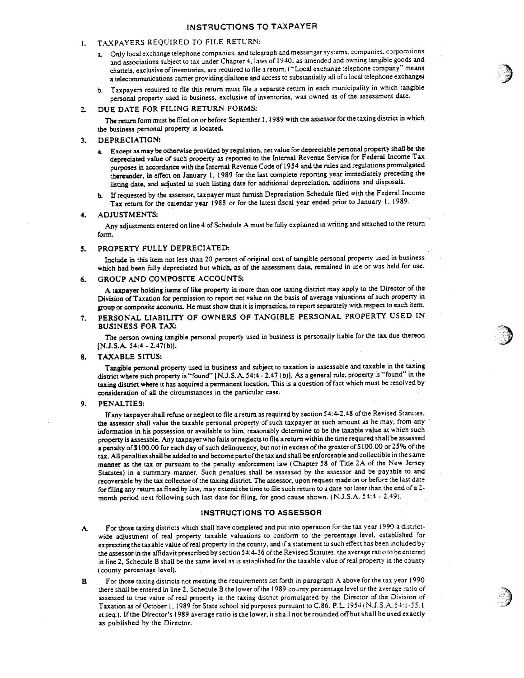## INSTRUCTIONS TO TAXPAYER

#### TAXPAYERS REQUIRED TO FILE RETURN:  $\mathbf{1}$ .

- a. Only local exchange telephone companies, and telegraph and messenger systems. companies, corporations and associations subject to tax under Chapter 4, laws of 1940. as amended and owning tangible goods and chattels, exclusive of inventories, are required to tile <sup>a</sup> return. ("Local exchange telephone company" means a telecommunications carrier providing dialtone and access to substantially all of a local telephone exchange.
- b. Taxpayers required to tile this return must file <sup>a</sup> separate return in each municipality in which tangible persona<sup>l</sup> property used in business, exclusive of inventories, was owned as of the assessment date.

#### 2. DUE DATE FOR FILING RETURN FORMS:

The return form must be filed on or before September 1, <sup>1989</sup> with the assessor for the taxing district in which the business personal property is located.

#### 3. DEPRECIATION:

- a. Except as may be otherwise provided by regulation, net value for depreciable persona<sup>l</sup> property shall be the depreciated value of such property as reported to the Internal Revenue Service for Federal Income Tax purposes in accordance with the Internal Revenue Code of <sup>1954</sup> and the rules and regulations promulgated thereunder, in effect on January 1, <sup>1989</sup> for the last complete reporting year immediately preceding the listing date, and adjusted to such listing date for additional depreciation, additions and disposals.
- b. If requested by the assessor, taxpayer must furnish Depreciation Schedule filed with the Federal Income Tax return for the calendar year <sup>1988</sup> or for the latest fiscal year ended prior to January 1, 1989.

#### 4. ADJUSTMENTS:

Any adjustments entered online <sup>4</sup> of Schedule <sup>A</sup> must be fully explained in writing and attached to the return form.

#### 5. PROPERTY FULLY DEPRECIATED:

Include in this item not less than <sup>20</sup> percen<sup>t</sup> of original cost of tangible persona<sup>l</sup> property used in business which had been fully depreciated but which, as of the assessment date, remained in use or was held for use.

## 6. GROUP AND COMPOSITE ACCOUNTS:

<sup>A</sup> taxpayer holding items of like property in more than one taxing district may apply to the Director of the Division of Taxation for permission to repor<sup>t</sup> net value on the basis of average valuations of such property in group or composite accounts. He must show that it is impractical to report separately with respect to each item.

# 7. PERSONAL LIABILITY OF OWNERS OF TANGIBLE PERSONAL PROPERTY USED IN BUSINESS FOR TAX;

The person owning tangible persona<sup>l</sup> property used in business is personally liable for the tax due thereon [N.J.S.A. 54:4 - 2.47(b)].

#### 8. TAXABLE SITUS:

Tangible persona<sup>l</sup> property used in business and subject to taxation is assessable and taxable in the taxing district where such property is "found" [N.J.S.A. 54:4-2.47 (b)I. As <sup>a</sup> genera<sup>l</sup> rule, property is "found" in the taxing district where it has acquired <sup>a</sup> permanen<sup>t</sup> location. This is <sup>a</sup> question of fact which must be resolved by consideration of all the circumstances in the particular case.

#### 9. PENALTIES:

If any taxpayer shall refuse or neglect to tile <sup>a</sup> return as required by section 54:4-2.48 of the Reyised Statutes, the assessor shall value the taxable persona<sup>l</sup> property of such taxpayer at such amount as he may, from arty information in his possession or available to him, reasonably determine to be the taxable value at which such property is assessble. Any taxpayer who falls or neglects to file <sup>a</sup> return within the time required shall be assessed a penalty of \$100.00 for each day of such delinquency, but not in excess of the greater of \$100.00 or 25% of the tax. All penalties shall be added to and become part of the tax and shall be enforceable and collectible in the same manner as the tax or pursuan<sup>t</sup> to the penalty enforcement law (Chapter <sup>58</sup> of Title 2A of the New Jersey Statutes) in <sup>a</sup> summary manner. Such penalties shall be assessed by the assessor and be payable to and recoverable by the tax collector of the taxing district. The assessor, upon reques<sup>t</sup> made on or before the last date for filing any return as fixed by law, may extend the time to file such return to a date not later than the end of a 2month period next following such last date for filing, for goo<sup>d</sup> cause shown. (N.J.S.A. 54:4 . 2.49).

#### INSTRUCTIONS TO ASSESSOR

- A. For those taxing districts which shall have completed and pu<sup>t</sup> into operation for the tax year <sup>1990</sup> <sup>a</sup> districtwide adjustment of real property taxable valuations to conform to the percentage level, established for expressing the taxable value of real property in the county. and if <sup>a</sup> statement to such effect has been included by the assessor in the affidavit prescribed by section 54:4—36 of the Revised Statutes, the average ratio to be entered in line 2. Schedule B shall be the same level as is established for the taxable value of real property in the county (county percentage level).
- B. For those taxing districts not meeting the requirements set forth in paragrap<sup>h</sup> <sup>A</sup> above for the tax year <sup>1990</sup> there shall be entered in line 2, Schedule <sup>B</sup> the lower of the <sup>1989</sup> county percentage level or the average ratio of assessed to true value of real property in the taxing district promulgated by the Director of the Division of Taxation as of October 1, 1989 for State school aid purposes pursuan<sup>t</sup> to C.86. P.L. 1954(NJ.S.A. 54:1-35.1 et seq.). Ifthe Director's <sup>1989</sup> average ratio is the lower, it shall not be rounded offbut shall be used exactly as published by the Director.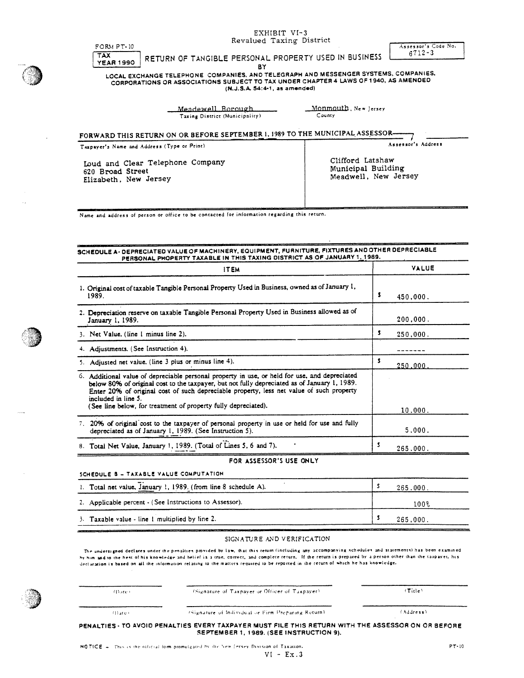| Revalued Taxing District                                                                                                                                                                                                                                                                                                                        | Assessor's Code No.                        |  |
|-------------------------------------------------------------------------------------------------------------------------------------------------------------------------------------------------------------------------------------------------------------------------------------------------------------------------------------------------|--------------------------------------------|--|
| FORM PT-10<br>TAX.<br>RETURN OF TANGIBLE PERSONAL PROPERTY USED IN BUSINESS<br><b>YEAR 1990</b><br>BY<br>LOCAL EXCHANGE TELEPHONE COMPANIES, AND TELEGRAPH AND MESSENGER SYSTEMS, COMPANIES,<br>CORPORATIONS OR ASSOCIATIONS SUBJECT TO TAX UNDER CHAPTER 4 LAWS OF 1940, AS AMENDED<br>(N.J.S.A. 54:4-1, as amended)                           | $6712 - 3$                                 |  |
| Monmouth, New Jersey<br><u> Meadewell Borough </u><br>County<br>Taxing District (Municipality)                                                                                                                                                                                                                                                  |                                            |  |
| FORWARD THIS RETURN ON OR BEFORE SEPTEMBER 1, 1989 TO THE MUNICIPAL ASSESSOR-                                                                                                                                                                                                                                                                   |                                            |  |
| Taxpayer's Name and Address (Type or Print)                                                                                                                                                                                                                                                                                                     | Assessor's Address                         |  |
| Clifford Latshaw<br>Loud and Clear Telephone Company<br>620 Broad Street<br>Elizabeth, New Jersey                                                                                                                                                                                                                                               | Municipal Building<br>Meadwell, New Jersey |  |
| Name and address of person or office to be contacted for information regarding this return.<br>SCHEDULE A- DEPRECIATED VALUE OF MACHINERY, EQUIPMENT, FURNITURE, FIXTURES AND OTHER DEPRECIABLE                                                                                                                                                 |                                            |  |
| PERSONAL PHOPERTY TAXABLE IN THIS TAXING DISTRICT AS OF JANUARY 1, 1989.                                                                                                                                                                                                                                                                        |                                            |  |
| <b>ITEM</b>                                                                                                                                                                                                                                                                                                                                     | <b>VALUE</b>                               |  |
| 1989.                                                                                                                                                                                                                                                                                                                                           | \$<br>450,000.                             |  |
| January 1, 1989.                                                                                                                                                                                                                                                                                                                                | 200,000.                                   |  |
|                                                                                                                                                                                                                                                                                                                                                 | \$<br>250,000.                             |  |
|                                                                                                                                                                                                                                                                                                                                                 | -------                                    |  |
| 1. Original cost of taxable Tangible Personal Property Used in Business, owned as of January 1,<br>2. Depreciation reserve on taxable Tangible Personal Property Used in Business allowed as of<br>3. Net Value. (line 1 minus line 2).<br>4. Adjustments. (See Instruction 4).<br>5. Adjusted net value. (line 3 plus or minus line 4).        | \$<br>250.000.                             |  |
| below 80% of original cost to the taxpayer, but not fully depreciated as of January 1, 1989.<br>Enter 20% of original cost of such depreciable property, less net value of such property<br>included in line 5.<br>(See line below, for treatment of property fully depreciated).                                                               |                                            |  |
| 20% of original cost to the taxpayer of personal property in use or held for use and fully<br>depreciated as of January 1, 1989. (See Instruction 5).                                                                                                                                                                                           | 10,000.<br>5.000.                          |  |
|                                                                                                                                                                                                                                                                                                                                                 | \$<br>265.000.                             |  |
| FOR ASSESSOR'S USE ONLY                                                                                                                                                                                                                                                                                                                         |                                            |  |
|                                                                                                                                                                                                                                                                                                                                                 | s<br>265.000.                              |  |
| 6. Additional value of depreciable personal property in use, or held for use, and depreciated<br>7.<br>8. Total Net Value, January 1, 1989. (Total of Lines 5, 6 and 7).<br>SCHEDULE B - TAXABLE VALUE COMPUTATION<br>1. Total net value, January 1, 1989. (from line 8 schedule A).<br>2. Applicable percent - (See Instructions to Assessor). | $100\%$                                    |  |

| $(1)$ are $($    | (Signature of Taxpaver or Officer of Taxpayer).                                                                                               | $(T_1, t_0)$ |
|------------------|-----------------------------------------------------------------------------------------------------------------------------------------------|--------------|
| $(1)$ . it e $($ | (Signature of Individual or Firm Preparing Return).                                                                                           | (Address)    |
|                  | PENALTIES - TO AVOID PENALTIES EVERY TAXPAYER MUST FILE THIS RETURN WITH THE ASSESSOR ON OR BEFORE<br>SEPTEMBER 1, 1989. (SEE INSTRUCTION 9). |              |

 $\sim 10^7$ 

 $\bar{\tau}_\tau$ 

 $\frac{1}{2}$ 

 $\sim$